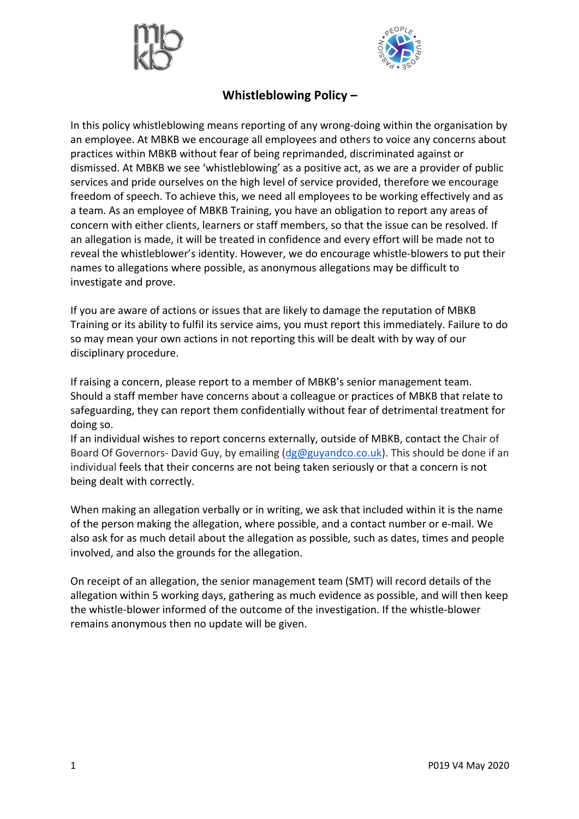



## **Whistleblowing Policy –**

In this policy whistleblowing means reporting of any wrong-doing within the organisation by an employee. At MBKB we encourage all employees and others to voice any concerns about practices within MBKB without fear of being reprimanded, discriminated against or dismissed. At MBKB we see 'whistleblowing' as a positive act, as we are a provider of public services and pride ourselves on the high level of service provided, therefore we encourage freedom of speech. To achieve this, we need all employees to be working effectively and as a team. As an employee of MBKB Training, you have an obligation to report any areas of concern with either clients, learners or staff members, so that the issue can be resolved. If an allegation is made, it will be treated in confidence and every effort will be made not to reveal the whistleblower's identity. However, we do encourage whistle-blowers to put their names to allegations where possible, as anonymous allegations may be difficult to investigate and prove.

If you are aware of actions or issues that are likely to damage the reputation of MBKB Training or its ability to fulfil its service aims, you must report this immediately. Failure to do so may mean your own actions in not reporting this will be dealt with by way of our disciplinary procedure.

If raising a concern, please report to a member of MBKB's senior management team. Should a staff member have concerns about a colleague or practices of MBKB that relate to safeguarding, they can report them confidentially without fear of detrimental treatment for doing so.

If an individual wishes to report concerns externally, outside of MBKB, contact the Chair of Board Of Governors- David Guy, by emailing  $(dg@guvandco.co.uk)$ . This should be done if an individual feels that their concerns are not being taken seriously or that a concern is not being dealt with correctly.

When making an allegation verbally or in writing, we ask that included within it is the name of the person making the allegation, where possible, and a contact number or e-mail. We also ask for as much detail about the allegation as possible, such as dates, times and people involved, and also the grounds for the allegation.

On receipt of an allegation, the senior management team (SMT) will record details of the allegation within 5 working days, gathering as much evidence as possible, and will then keep the whistle-blower informed of the outcome of the investigation. If the whistle-blower remains anonymous then no update will be given.